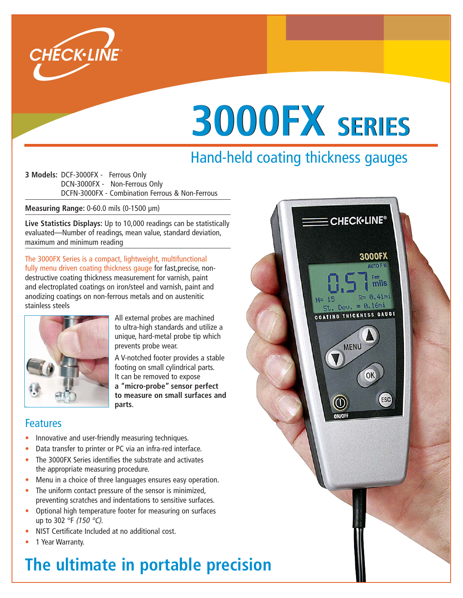

# **3000FX SERIES**

# Hand-held coating thickness gauges

**3 Models:** DCF-3000FX - Ferrous Only DCN-3000FX - Non-Ferrous Only DCFN-3000FX - Combination Ferrous & Non-Ferrous

**Measuring Range:** 0-60.0 mils (0-1500 µm)

**Live Statistics Displays:** Up to 10,000 readings can be statistically evaluated—Number of readings, mean value, standard deviation, maximum and minimum reading

The 3000FX Series is a compact, lightweight, multifunctional fully menu driven coating thickness gauge for fast, precise, nondestructive coating thickness measurement for varnish, paint and electroplated coatings on iron/steel and varnish, paint and anodizing coatings on non-ferrous metals and on austenitic stainless steels



All external probes are machined to ultra-high standards and utilize a unique, hard-metal probe tip which prevents probe wear.

A V-notched footer provides a stable footing on small cylindrical parts. It can be removed to expose **a "micro-probe" sensor perfect to measure on small surfaces and parts.**

### Features

- Innovative and user-friendly measuring techniques.
- Data transfer to printer or PC via an infra-red interface.
- The 3000FX Series identifies the substrate and activates the appropriate measuring procedure.
- Menu in a choice of three languages ensures easy operation.
- The uniform contact pressure of the sensor is minimized, preventing scratches and indentations to sensitive surfaces.
- Optional high temperature footer for measuring on surfaces up to 302 °F (150 °C).
- NIST Certificate Included at no additional cost.
- 1 Year Warranty.

# **The ultimate in portable precision**